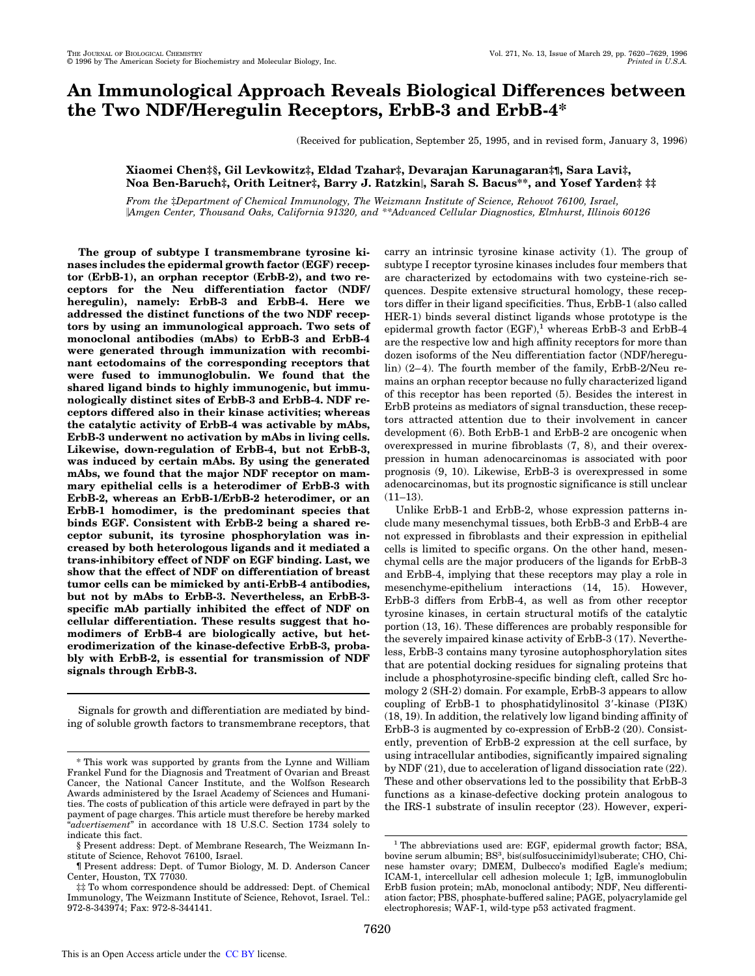# **An Immunological Approach Reveals Biological Differences between the Two NDF/Heregulin Receptors, ErbB-3 and ErbB-4\***

(Received for publication, September 25, 1995, and in revised form, January 3, 1996)

# **Xiaomei Chen‡§, Gil Levkowitz‡, Eldad Tzahar‡, Devarajan Karunagaran‡¶, Sara Lavi‡, Noa Ben-Baruch‡, Orith Leitner‡, Barry J. Ratzkin**i**, Sarah S. Bacus\*\*, and Yosef Yarden‡ ‡‡**

*From the* ‡*Department of Chemical Immunology, The Weizmann Institute of Science, Rehovot 76100, Israel,* i*Amgen Center, Thousand Oaks, California 91320, and \*\*Advanced Cellular Diagnostics, Elmhurst, Illinois 60126*

**The group of subtype I transmembrane tyrosine kinases includes the epidermal growth factor (EGF) receptor (ErbB-1), an orphan receptor (ErbB-2), and two receptors for the Neu differentiation factor (NDF/ heregulin), namely: ErbB-3 and ErbB-4. Here we addressed the distinct functions of the two NDF receptors by using an immunological approach. Two sets of monoclonal antibodies (mAbs) to ErbB-3 and ErbB-4 were generated through immunization with recombinant ectodomains of the corresponding receptors that were fused to immunoglobulin. We found that the shared ligand binds to highly immunogenic, but immunologically distinct sites of ErbB-3 and ErbB-4. NDF receptors differed also in their kinase activities; whereas the catalytic activity of ErbB-4 was activable by mAbs, ErbB-3 underwent no activation by mAbs in living cells. Likewise, down-regulation of ErbB-4, but not ErbB-3, was induced by certain mAbs. By using the generated mAbs, we found that the major NDF receptor on mammary epithelial cells is a heterodimer of ErbB-3 with ErbB-2, whereas an ErbB-1/ErbB-2 heterodimer, or an ErbB-1 homodimer, is the predominant species that binds EGF. Consistent with ErbB-2 being a shared receptor subunit, its tyrosine phosphorylation was increased by both heterologous ligands and it mediated a trans-inhibitory effect of NDF on EGF binding. Last, we show that the effect of NDF on differentiation of breast tumor cells can be mimicked by anti-ErbB-4 antibodies, but not by mAbs to ErbB-3. Nevertheless, an ErbB-3 specific mAb partially inhibited the effect of NDF on cellular differentiation. These results suggest that homodimers of ErbB-4 are biologically active, but heterodimerization of the kinase-defective ErbB-3, probably with ErbB-2, is essential for transmission of NDF signals through ErbB-3.**

Signals for growth and differentiation are mediated by binding of soluble growth factors to transmembrane receptors, that carry an intrinsic tyrosine kinase activity (1). The group of subtype I receptor tyrosine kinases includes four members that are characterized by ectodomains with two cysteine-rich sequences. Despite extensive structural homology, these receptors differ in their ligand specificities. Thus, ErbB-1 (also called HER-1) binds several distinct ligands whose prototype is the epidermal growth factor  $(EGF)$ ,<sup>1</sup> whereas ErbB-3 and ErbB-4 are the respective low and high affinity receptors for more than dozen isoforms of the Neu differentiation factor (NDF/heregulin) (2–4). The fourth member of the family, ErbB-2/Neu remains an orphan receptor because no fully characterized ligand of this receptor has been reported (5). Besides the interest in ErbB proteins as mediators of signal transduction, these receptors attracted attention due to their involvement in cancer development (6). Both ErbB-1 and ErbB-2 are oncogenic when overexpressed in murine fibroblasts (7, 8), and their overexpression in human adenocarcinomas is associated with poor prognosis (9, 10). Likewise, ErbB-3 is overexpressed in some adenocarcinomas, but its prognostic significance is still unclear  $(11-13)$ .

Unlike ErbB-1 and ErbB-2, whose expression patterns include many mesenchymal tissues, both ErbB-3 and ErbB-4 are not expressed in fibroblasts and their expression in epithelial cells is limited to specific organs. On the other hand, mesenchymal cells are the major producers of the ligands for ErbB-3 and ErbB-4, implying that these receptors may play a role in mesenchyme-epithelium interactions (14, 15). However, ErbB-3 differs from ErbB-4, as well as from other receptor tyrosine kinases, in certain structural motifs of the catalytic portion (13, 16). These differences are probably responsible for the severely impaired kinase activity of ErbB-3 (17). Nevertheless, ErbB-3 contains many tyrosine autophosphorylation sites that are potential docking residues for signaling proteins that include a phosphotyrosine-specific binding cleft, called Src homology 2 (SH-2) domain. For example, ErbB-3 appears to allow coupling of ErbB-1 to phosphatidylinositol  $3'$ -kinase (PI3K) (18, 19). In addition, the relatively low ligand binding affinity of ErbB-3 is augmented by co-expression of ErbB-2 (20). Consistently, prevention of ErbB-2 expression at the cell surface, by using intracellular antibodies, significantly impaired signaling by NDF (21), due to acceleration of ligand dissociation rate (22). These and other observations led to the possibility that ErbB-3 functions as a kinase-defective docking protein analogous to the IRS-1 substrate of insulin receptor (23). However, experi-

<sup>\*</sup> This work was supported by grants from the Lynne and William Frankel Fund for the Diagnosis and Treatment of Ovarian and Breast Cancer, the National Cancer Institute, and the Wolfson Research Awards administered by the Israel Academy of Sciences and Humanities. The costs of publication of this article were defrayed in part by the payment of page charges. This article must therefore be hereby marked "*advertisement*" in accordance with 18 U.S.C. Section 1734 solely to indicate this fact.

<sup>§</sup> Present address: Dept. of Membrane Research, The Weizmann Institute of Science, Rehovot 76100, Israel.

<sup>¶</sup> Present address: Dept. of Tumor Biology, M. D. Anderson Cancer Center, Houston, TX 77030.

<sup>‡‡</sup> To whom correspondence should be addressed: Dept. of Chemical Immunology, The Weizmann Institute of Science, Rehovot, Israel. Tel.: 972-8-343974; Fax: 972-8-344141.

<sup>&</sup>lt;sup>1</sup> The abbreviations used are: EGF, epidermal growth factor; BSA, bovine serum albumin; BS<sup>3</sup>, bis(sulfosuccinimidyl)suberate; CHO, Chinese hamster ovary; DMEM, Dulbecco's modified Eagle's medium; ICAM-1, intercellular cell adhesion molecule 1; IgB, immunoglobulin ErbB fusion protein; mAb, monoclonal antibody; NDF, Neu differentiation factor; PBS, phosphate-buffered saline; PAGE, polyacrylamide gel electrophoresis; WAF-1, wild-type p53 activated fragment.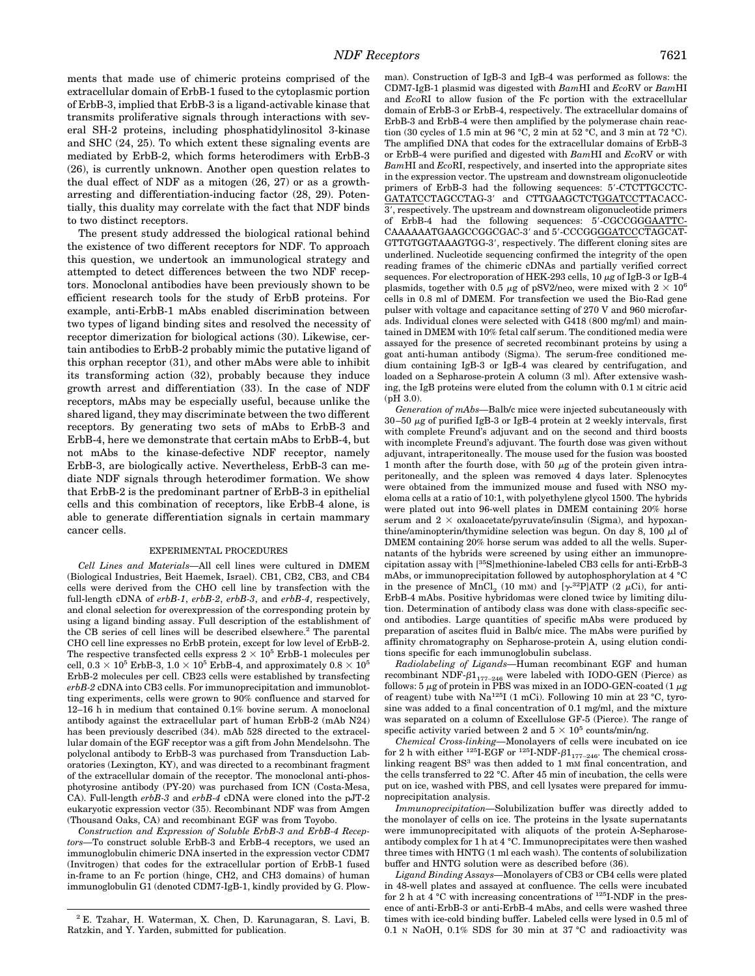ments that made use of chimeric proteins comprised of the extracellular domain of ErbB-1 fused to the cytoplasmic portion of ErbB-3, implied that ErbB-3 is a ligand-activable kinase that transmits proliferative signals through interactions with several SH-2 proteins, including phosphatidylinositol 3-kinase and SHC (24, 25). To which extent these signaling events are mediated by ErbB-2, which forms heterodimers with ErbB-3 (26), is currently unknown. Another open question relates to the dual effect of NDF as a mitogen (26, 27) or as a growtharresting and differentiation-inducing factor (28, 29). Potentially, this duality may correlate with the fact that NDF binds to two distinct receptors.

The present study addressed the biological rational behind the existence of two different receptors for NDF. To approach this question, we undertook an immunological strategy and attempted to detect differences between the two NDF receptors. Monoclonal antibodies have been previously shown to be efficient research tools for the study of ErbB proteins. For example, anti-ErbB-1 mAbs enabled discrimination between two types of ligand binding sites and resolved the necessity of receptor dimerization for biological actions (30). Likewise, certain antibodies to ErbB-2 probably mimic the putative ligand of this orphan receptor (31), and other mAbs were able to inhibit its transforming action (32), probably because they induce growth arrest and differentiation (33). In the case of NDF receptors, mAbs may be especially useful, because unlike the shared ligand, they may discriminate between the two different receptors. By generating two sets of mAbs to ErbB-3 and ErbB-4, here we demonstrate that certain mAbs to ErbB-4, but not mAbs to the kinase-defective NDF receptor, namely ErbB-3, are biologically active. Nevertheless, ErbB-3 can mediate NDF signals through heterodimer formation. We show that ErbB-2 is the predominant partner of ErbB-3 in epithelial cells and this combination of receptors, like ErbB-4 alone, is able to generate differentiation signals in certain mammary cancer cells.

## EXPERIMENTAL PROCEDURES

*Cell Lines and Materials—*All cell lines were cultured in DMEM (Biological Industries, Beit Haemek, Israel). CB1, CB2, CB3, and CB4 cells were derived from the CHO cell line by transfection with the full-length cDNA of *erbB-1*, *erbB-2*, *erbB-3*, and *erbB-4*, respectively, and clonal selection for overexpression of the corresponding protein by using a ligand binding assay. Full description of the establishment of the CB series of cell lines will be described elsewhere.<sup>2</sup> The parental CHO cell line expresses no ErbB protein, except for low level of ErbB-2. The respective transfected cells express  $2 \times 10^5$  ErbB-1 molecules per cell,  $0.3 \times 10^5$  ErbB-3,  $1.0 \times 10^5$  ErbB-4, and approximately  $0.8 \times 10^5$ ErbB-2 molecules per cell. CB23 cells were established by transfecting *erbB-2* cDNA into CB3 cells. For immunoprecipitation and immunoblotting experiments, cells were grown to 90% confluence and starved for 12–16 h in medium that contained 0.1% bovine serum. A monoclonal antibody against the extracellular part of human ErbB-2 (mAb N24) has been previously described (34). mAb 528 directed to the extracellular domain of the EGF receptor was a gift from John Mendelsohn. The polyclonal antibody to ErbB-3 was purchased from Transduction Laboratories (Lexington, KY), and was directed to a recombinant fragment of the extracellular domain of the receptor. The monoclonal anti-phosphotyrosine antibody (PY-20) was purchased from ICN (Costa-Mesa, CA). Full-length *erbB-3* and *erbB-4* cDNA were cloned into the pJT-2 eukaryotic expression vector (35). Recombinant NDF was from Amgen (Thousand Oaks, CA) and recombinant EGF was from Toyobo.

*Construction and Expression of Soluble ErbB-3 and ErbB-4 Receptors—*To construct soluble ErbB-3 and ErbB-4 receptors, we used an immunoglobulin chimeric DNA inserted in the expression vector CDM7 (Invitrogen) that codes for the extracellular portion of ErbB-1 fused in-frame to an Fc portion (hinge, CH2, and CH3 domains) of human immunoglobulin G1 (denoted CDM7-IgB-1, kindly provided by G. Plowman). Construction of IgB-3 and IgB-4 was performed as follows: the CDM7-IgB-1 plasmid was digested with *Bam*HI and *Eco*RV or *Bam*HI and *Eco*RI to allow fusion of the Fc portion with the extracellular domain of ErbB-3 or ErbB-4, respectively. The extracellular domains of ErbB-3 and ErbB-4 were then amplified by the polymerase chain reaction (30 cycles of 1.5 min at 96 °C, 2 min at 52 °C, and 3 min at 72 °C). The amplified DNA that codes for the extracellular domains of ErbB-3 or ErbB-4 were purified and digested with *Bam*HI and *Eco*RV or with *Bam*HI and *Eco*RI, respectively, and inserted into the appropriate sites in the expression vector. The upstream and downstream oligonucleotide primers of ErbB-3 had the following sequences: 5'-CTCTTGCCTC-GATATCCTAGCCTAG-3' and CTTGAAGCTCTGGATCCTTACACC-3', respectively. The upstream and downstream oligonucleotide primers of ErbB-4 had the following sequences: 5'-CGCCGGGAATTC-CAAAAAATGAAGCCGGCGAC-3' and 5'-CCCGGGGATCCCTAGCAT-GTTGTGGTAAAGTGG-3', respectively. The different cloning sites are underlined. Nucleotide sequencing confirmed the integrity of the open reading frames of the chimeric cDNAs and partially verified correct sequences. For electroporation of HEK-293 cells,  $10 \mu$ g of IgB-3 or IgB-4 plasmids, together with 0.5  $\mu$ g of pSV2/neo, were mixed with 2  $\times$  10<sup>6</sup> cells in 0.8 ml of DMEM. For transfection we used the Bio-Rad gene pulser with voltage and capacitance setting of 270 V and 960 microfarads. Individual clones were selected with G418 (800 mg/ml) and maintained in DMEM with 10% fetal calf serum. The conditioned media were assayed for the presence of secreted recombinant proteins by using a goat anti-human antibody (Sigma). The serum-free conditioned medium containing IgB-3 or IgB-4 was cleared by centrifugation, and loaded on a Sepharose-protein A column (3 ml). After extensive washing, the IgB proteins were eluted from the column with 0.1 M citric acid (pH 3.0).

*Generation of mAbs—*Balb/c mice were injected subcutaneously with  $30\text{--}50$   $\mu\text{g}$  of purified IgB-3 or IgB-4 protein at 2 weekly intervals, first with complete Freund's adjuvant and on the second and third boosts with incomplete Freund's adjuvant. The fourth dose was given without adjuvant, intraperitoneally. The mouse used for the fusion was boosted 1 month after the fourth dose, with 50  $\mu$ g of the protein given intraperitoneally, and the spleen was removed 4 days later. Splenocytes were obtained from the immunized mouse and fused with NSO myeloma cells at a ratio of 10:1, with polyethylene glycol 1500. The hybrids were plated out into 96-well plates in DMEM containing 20% horse serum and  $2 \times \alpha$ xaloacetate/pyruvate/insulin (Sigma), and hypoxanthine/aminopterin/thymidine selection was begun. On day 8, 100  $\mu$ l of DMEM containing 20% horse serum was added to all the wells. Supernatants of the hybrids were screened by using either an immunoprecipitation assay with [35S]methionine-labeled CB3 cells for anti-ErbB-3 mAbs, or immunoprecipitation followed by autophosphorylation at 4 °C in the presence of  $MnCl<sub>2</sub>$  (10 mM) and [ $\gamma$ <sup>-32</sup>P]ATP (2  $\mu$ Ci), for anti-ErbB-4 mAbs. Positive hybridomas were cloned twice by limiting dilution. Determination of antibody class was done with class-specific second antibodies. Large quantities of specific mAbs were produced by preparation of ascites fluid in Balb/c mice. The mAbs were purified by affinity chromatography on Sepharose-protein A, using elution conditions specific for each immunoglobulin subclass.

*Radiolabeling of Ligands—*Human recombinant EGF and human recombinant NDF- $\beta1_{177-246}$  were labeled with IODO-GEN (Pierce) as follows: 5  $\mu$ g of protein in PBS was mixed in an IODO-GEN-coated (1  $\mu$ g of reagent) tube with Na125I (1 mCi). Following 10 min at 23 °C, tyrosine was added to a final concentration of 0.1 mg/ml, and the mixture was separated on a column of Excellulose GF-5 (Pierce). The range of specific activity varied between 2 and  $5 \times 10^5$  counts/min/ng.

*Chemical Cross-linking—*Monolayers of cells were incubated on ice for 2 h with either  $^{125}$ I-EGF or  $^{125}$ I-NDF- $\beta1_{177-246}$ . The chemical crosslinking reagent  $BS^3$  was then added to 1 mM final concentration, and the cells transferred to 22 °C. After 45 min of incubation, the cells were put on ice, washed with PBS, and cell lysates were prepared for immunoprecipitation analysis.

*Immunoprecipitation—*Solubilization buffer was directly added to the monolayer of cells on ice. The proteins in the lysate supernatants were immunoprecipitated with aliquots of the protein A-Sepharoseantibody complex for 1 h at 4 °C. Immunoprecipitates were then washed three times with HNTG (1 ml each wash). The contents of solubilization buffer and HNTG solution were as described before (36).

*Ligand Binding Assays—*Monolayers of CB3 or CB4 cells were plated in 48-well plates and assayed at confluence. The cells were incubated for 2 h at  $4^{\circ}$ C with increasing concentrations of <sup>125</sup>I-NDF in the presence of anti-ErbB-3 or anti-ErbB-4 mAbs, and cells were washed three times with ice-cold binding buffer. Labeled cells were lysed in 0.5 ml of 0.1 N NaOH, 0.1% SDS for 30 min at 37 °C and radioactivity was

<sup>2</sup> E. Tzahar, H. Waterman, X. Chen, D. Karunagaran, S. Lavi, B. Ratzkin, and Y. Yarden, submitted for publication.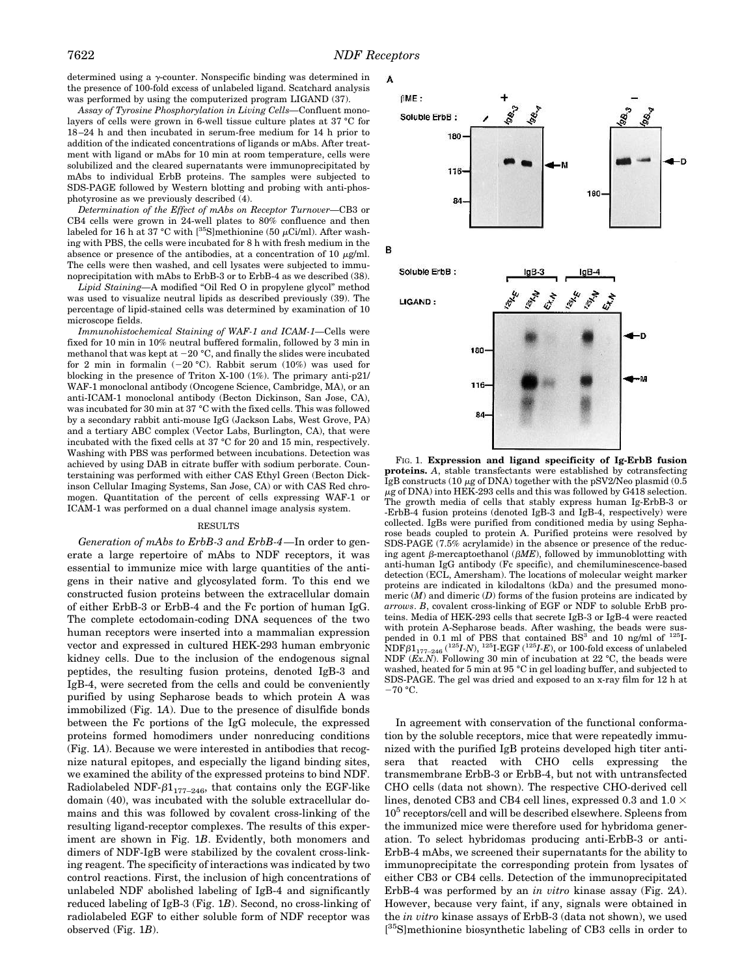determined using a  $\gamma$ -counter. Nonspecific binding was determined in the presence of 100-fold excess of unlabeled ligand. Scatchard analysis was performed by using the computerized program LIGAND (37).

*Assay of Tyrosine Phosphorylation in Living Cells—*Confluent monolayers of cells were grown in 6-well tissue culture plates at 37 °C for 18–24 h and then incubated in serum-free medium for 14 h prior to addition of the indicated concentrations of ligands or mAbs. After treatment with ligand or mAbs for 10 min at room temperature, cells were solubilized and the cleared supernatants were immunoprecipitated by mAbs to individual ErbB proteins. The samples were subjected to SDS-PAGE followed by Western blotting and probing with anti-phosphotyrosine as we previously described (4).

*Determination of the Effect of mAbs on Receptor Turnover—*CB3 or CB4 cells were grown in 24-well plates to 80% confluence and then labeled for 16 h at 37 °C with [35S]methionine (50  $\mu$ Ci/ml). After washing with PBS, the cells were incubated for 8 h with fresh medium in the absence or presence of the antibodies, at a concentration of 10  $\mu$ g/ml. The cells were then washed, and cell lysates were subjected to immunoprecipitation with mAbs to ErbB-3 or to ErbB-4 as we described (38).

*Lipid Staining—*A modified "Oil Red O in propylene glycol" method was used to visualize neutral lipids as described previously (39). The percentage of lipid-stained cells was determined by examination of 10 microscope fields.

*Immunohistochemical Staining of WAF-1 and ICAM-1—*Cells were fixed for 10 min in 10% neutral buffered formalin, followed by 3 min in methanol that was kept at  $-20$  °C, and finally the slides were incubated for 2 min in formalin  $(-20 °C)$ . Rabbit serum  $(10 %)$  was used for blocking in the presence of Triton X-100 (1%). The primary anti-p21/ WAF-1 monoclonal antibody (Oncogene Science, Cambridge, MA), or an anti-ICAM-1 monoclonal antibody (Becton Dickinson, San Jose, CA), was incubated for 30 min at 37 °C with the fixed cells. This was followed by a secondary rabbit anti-mouse IgG (Jackson Labs, West Grove, PA) and a tertiary ABC complex (Vector Labs, Burlington, CA), that were incubated with the fixed cells at 37 °C for 20 and 15 min, respectively. Washing with PBS was performed between incubations. Detection was achieved by using DAB in citrate buffer with sodium perborate. Counterstaining was performed with either CAS Ethyl Green (Becton Dickinson Cellular Imaging Systems, San Jose, CA) or with CAS Red chromogen. Quantitation of the percent of cells expressing WAF-1 or ICAM-1 was performed on a dual channel image analysis system.

# RESULTS

*Generation of mAbs to ErbB-3 and ErbB-4—*In order to generate a large repertoire of mAbs to NDF receptors, it was essential to immunize mice with large quantities of the antigens in their native and glycosylated form. To this end we constructed fusion proteins between the extracellular domain of either ErbB-3 or ErbB-4 and the Fc portion of human IgG. The complete ectodomain-coding DNA sequences of the two human receptors were inserted into a mammalian expression vector and expressed in cultured HEK-293 human embryonic kidney cells. Due to the inclusion of the endogenous signal peptides, the resulting fusion proteins, denoted IgB-3 and IgB-4, were secreted from the cells and could be conveniently purified by using Sepharose beads to which protein A was immobilized (Fig. 1*A*). Due to the presence of disulfide bonds between the Fc portions of the IgG molecule, the expressed proteins formed homodimers under nonreducing conditions (Fig. 1*A*). Because we were interested in antibodies that recognize natural epitopes, and especially the ligand binding sites, we examined the ability of the expressed proteins to bind NDF. Radiolabeled NDF- $\beta1_{177-246}$ , that contains only the EGF-like domain (40), was incubated with the soluble extracellular domains and this was followed by covalent cross-linking of the resulting ligand-receptor complexes. The results of this experiment are shown in Fig. 1*B*. Evidently, both monomers and dimers of NDF-IgB were stabilized by the covalent cross-linking reagent. The specificity of interactions was indicated by two control reactions. First, the inclusion of high concentrations of unlabeled NDF abolished labeling of IgB-4 and significantly reduced labeling of IgB-3 (Fig. 1*B*). Second, no cross-linking of radiolabeled EGF to either soluble form of NDF receptor was observed (Fig. 1*B*).



FIG. 1. **Expression and ligand specificity of Ig-ErbB fusion proteins.** *A*, stable transfectants were established by cotransfecting IgB constructs (10  $\mu$ g of DNA) together with the pSV2/Neo plasmid (0.5  $\mu$ g of DNA) into HEK-293 cells and this was followed by G418 selection. The growth media of cells that stably express human Ig-ErbB-3 or -ErbB-4 fusion proteins (denoted IgB-3 and IgB-4, respectively) were collected. IgBs were purified from conditioned media by using Sepharose beads coupled to protein A. Purified proteins were resolved by SDS-PAGE (7.5% acrylamide) in the absence or presence of the reducing agent  $\beta$ -mercaptoethanol ( $\beta ME$ ), followed by immunoblotting with anti-human IgG antibody (Fc specific), and chemiluminescence-based detection (ECL, Amersham). The locations of molecular weight marker proteins are indicated in kilodaltons (kDa) and the presumed monomeric  $(M)$  and dimeric  $(D)$  forms of the fusion proteins are indicated by *arrows*. *B*, covalent cross-linking of EGF or NDF to soluble ErbB proteins. Media of HEK-293 cells that secrete IgB-3 or IgB-4 were reacted with protein A-Sepharose beads. After washing, the beads were suspended in 0.1 ml of PBS that contained  $BS^3$  and 10 ng/ml of  $^{125}I$ - $\mathrm{NDF}\beta1_{177-246}\,(^{125}I\text{-}N),\,^{125}\mathrm{I\text{-}EGF}\,(^{125}I\text{-}E),\,\text{or}\,\,100\text{-fold excess of unlabeled}$ NDF (*Ex.N*). Following 30 min of incubation at 22 °C, the beads were washed, heated for 5 min at 95 °C in gel loading buffer, and subjected to SDS-PAGE. The gel was dried and exposed to an x-ray film for 12 h at  $-70$  °C.

In agreement with conservation of the functional conformation by the soluble receptors, mice that were repeatedly immunized with the purified IgB proteins developed high titer antisera that reacted with CHO cells expressing the transmembrane ErbB-3 or ErbB-4, but not with untransfected CHO cells (data not shown). The respective CHO-derived cell lines, denoted CB3 and CB4 cell lines, expressed 0.3 and 1.0  $\times$ 10<sup>5</sup> receptors/cell and will be described elsewhere. Spleens from the immunized mice were therefore used for hybridoma generation. To select hybridomas producing anti-ErbB-3 or anti-ErbB-4 mAbs, we screened their supernatants for the ability to immunoprecipitate the corresponding protein from lysates of either CB3 or CB4 cells. Detection of the immunoprecipitated ErbB-4 was performed by an *in vitro* kinase assay (Fig. 2*A*). However, because very faint, if any, signals were obtained in the *in vitro* kinase assays of ErbB-3 (data not shown), we used [ <sup>35</sup>S]methionine biosynthetic labeling of CB3 cells in order to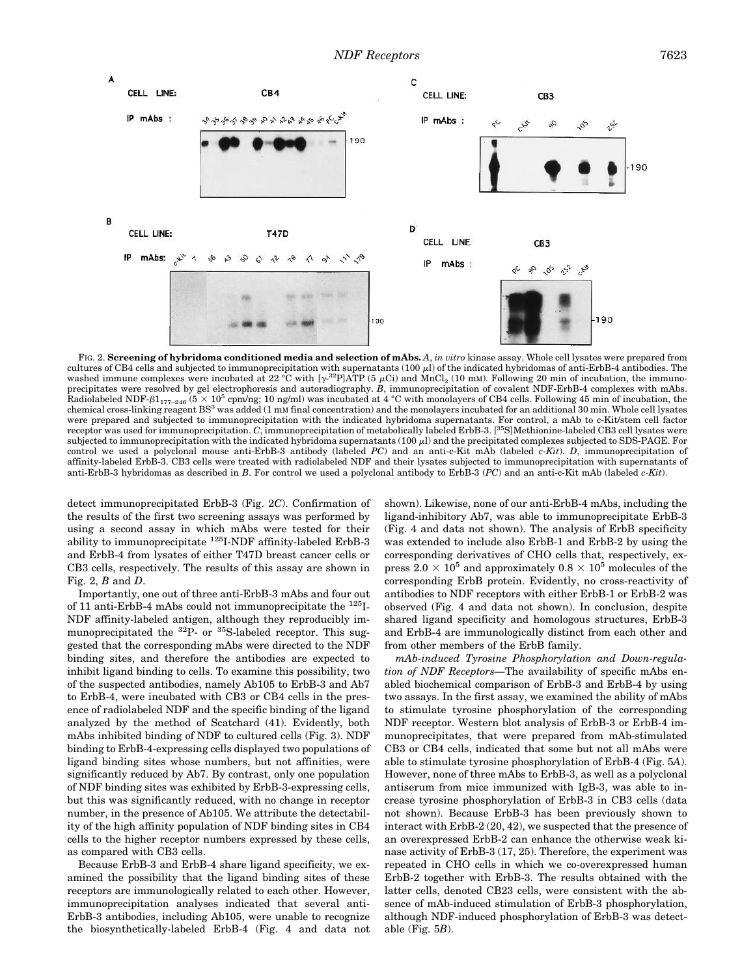

FIG. 2. **Screening of hybridoma conditioned media and selection of mAbs.** *A*, *in vitro* kinase assay. Whole cell lysates were prepared from cultures of CB4 cells and subjected to immunoprecipitation with supernatants  $(100 \mu)$  of the indicated hybridomas of anti-ErbB-4 antibodies. The washed immune complexes were incubated at 22 °C with  $[\gamma^{32}P]ATP$  (5  $\mu$ Ci) and MnCl<sub>2</sub> (10 mm). Following 20 min of incubation, the immunoprecipitates were resolved by gel electrophoresis and autoradiography. *B*, immunoprecipitation of covalent NDF-ErbB-4 complexes with mAbs. Radiolabeled NDF- $\beta1_{177-246}$  ( $5 \times 10^5$  cpm/ng; 10 ng/ml) was incubated at 4 °C with monolayers of CB4 cells. Following 45 min of incubation, the chemical cross-linking reagent BS<sup>3</sup> was added (1 m<sup>M</sup> final concentration) and the monolayers incubated for an additional 30 min. Whole cell lysates were prepared and subjected to immunoprecipitation with the indicated hybridoma supernatants. For control, a mAb to c-Kit/stem cell factor receptor was used for immunoprecipitation. *C*, immunoprecipitation of metabolically labeled ErbB-3. [35S]Methionine-labeled CB3 cell lysates were subjected to immunoprecipitation with the indicated hybridoma supernatants (100 µl) and the precipitated complexes subjected to SDS-PAGE. For control we used a polyclonal mouse anti-ErbB-3 antibody (labeled *PC*) and an anti-c-Kit mAb (labeled *c-Kit*). *D*, immunoprecipitation of affinity-labeled ErbB-3. CB3 cells were treated with radiolabeled NDF and their lysates subjected to immunoprecipitation with supernatants of anti-ErbB-3 hybridomas as described in *B*. For control we used a polyclonal antibody to ErbB-3 (*PC*) and an anti-c-Kit mAb (labeled *c-Kit*).

detect immunoprecipitated ErbB-3 (Fig. 2*C*). Confirmation of the results of the first two screening assays was performed by using a second assay in which mAbs were tested for their ability to immunoprecipitate <sup>125</sup>I-NDF affinity-labeled ErbB-3 and ErbB-4 from lysates of either T47D breast cancer cells or CB3 cells, respectively. The results of this assay are shown in Fig. 2, *B* and *D*.

Importantly, one out of three anti-ErbB-3 mAbs and four out of 11 anti-ErbB-4 mAbs could not immunoprecipitate the  $^{125}I$ -NDF affinity-labeled antigen, although they reproducibly immunoprecipitated the  $^{32}P$ - or  $^{35}S$ -labeled receptor. This suggested that the corresponding mAbs were directed to the NDF binding sites, and therefore the antibodies are expected to inhibit ligand binding to cells. To examine this possibility, two of the suspected antibodies, namely Ab105 to ErbB-3 and Ab7 to ErbB-4, were incubated with CB3 or CB4 cells in the presence of radiolabeled NDF and the specific binding of the ligand analyzed by the method of Scatchard (41). Evidently, both mAbs inhibited binding of NDF to cultured cells (Fig. 3). NDF binding to ErbB-4-expressing cells displayed two populations of ligand binding sites whose numbers, but not affinities, were significantly reduced by Ab7. By contrast, only one population of NDF binding sites was exhibited by ErbB-3-expressing cells, but this was significantly reduced, with no change in receptor number, in the presence of Ab105. We attribute the detectability of the high affinity population of NDF binding sites in CB4 cells to the higher receptor numbers expressed by these cells, as compared with CB3 cells.

Because ErbB-3 and ErbB-4 share ligand specificity, we examined the possibility that the ligand binding sites of these receptors are immunologically related to each other. However, immunoprecipitation analyses indicated that several anti-ErbB-3 antibodies, including Ab105, were unable to recognize the biosynthetically-labeled ErbB-4 (Fig. 4 and data not shown). Likewise, none of our anti-ErbB-4 mAbs, including the ligand-inhibitory Ab7, was able to immunoprecipitate ErbB-3 (Fig. 4 and data not shown). The analysis of ErbB specificity was extended to include also ErbB-1 and ErbB-2 by using the corresponding derivatives of CHO cells that, respectively, express  $2.0 \times 10^5$  and approximately  $0.8 \times 10^5$  molecules of the corresponding ErbB protein. Evidently, no cross-reactivity of antibodies to NDF receptors with either ErbB-1 or ErbB-2 was observed (Fig. 4 and data not shown). In conclusion, despite shared ligand specificity and homologous structures, ErbB-3 and ErbB-4 are immunologically distinct from each other and from other members of the ErbB family.

*mAb-induced Tyrosine Phosphorylation and Down-regulation of NDF Receptors—*The availability of specific mAbs enabled biochemical comparison of ErbB-3 and ErbB-4 by using two assays. In the first assay, we examined the ability of mAbs to stimulate tyrosine phosphorylation of the corresponding NDF receptor. Western blot analysis of ErbB-3 or ErbB-4 immunoprecipitates, that were prepared from mAb-stimulated CB3 or CB4 cells, indicated that some but not all mAbs were able to stimulate tyrosine phosphorylation of ErbB-4 (Fig. 5*A*). However, none of three mAbs to ErbB-3, as well as a polyclonal antiserum from mice immunized with IgB-3, was able to increase tyrosine phosphorylation of ErbB-3 in CB3 cells (data not shown). Because ErbB-3 has been previously shown to interact with ErbB-2 (20, 42), we suspected that the presence of an overexpressed ErbB-2 can enhance the otherwise weak kinase activity of ErbB-3 (17, 25). Therefore, the experiment was repeated in CHO cells in which we co-overexpressed human ErbB-2 together with ErbB-3. The results obtained with the latter cells, denoted CB23 cells, were consistent with the absence of mAb-induced stimulation of ErbB-3 phosphorylation, although NDF-induced phosphorylation of ErbB-3 was detectable (Fig. 5*B*).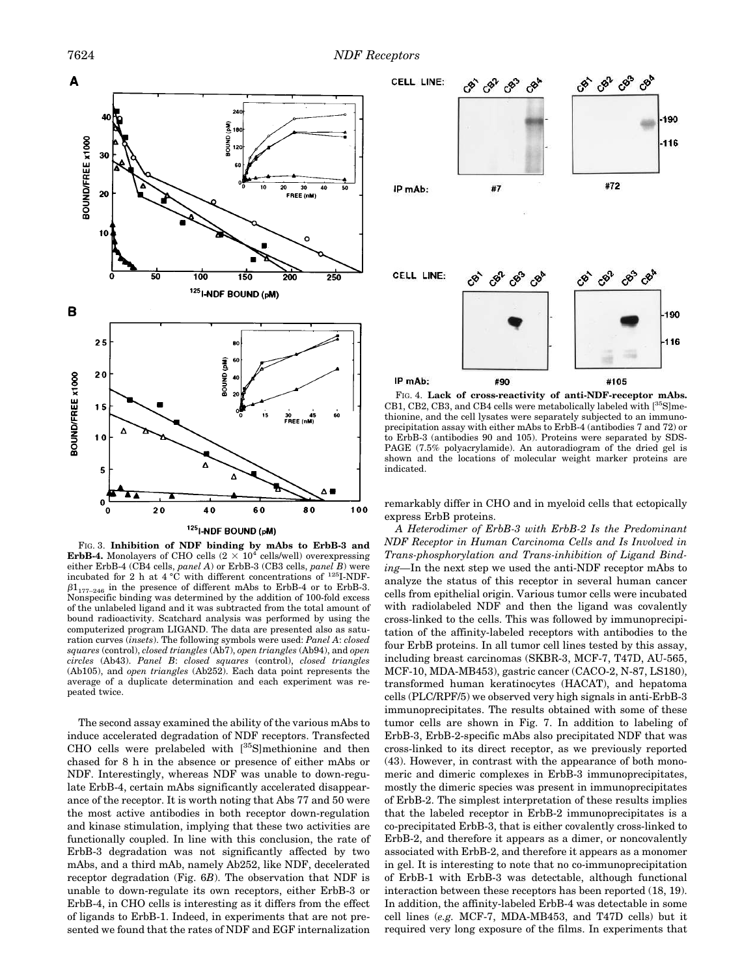

FIG. 3. **Inhibition of NDF binding by mAbs to ErbB-3 and ErbB-4.** Monolayers of CHO cells  $(2 \times 10^4 \text{ cells/well})$  overexpressing either ErbB-4 (CB4 cells, *panel A*) or ErbB-3 (CB3 cells, *panel B*) were incubated for 2 h at 4 °C with different concentrations of <sup>125</sup>I-NDF- $\beta1_{177-246}$  in the presence of different mAbs to ErbB-4 or to ErbB-3. Nonspecific binding was determined by the addition of 100-fold excess of the unlabeled ligand and it was subtracted from the total amount of bound radioactivity. Scatchard analysis was performed by using the computerized program LIGAND. The data are presented also as saturation curves (*insets*). The following symbols were used: *Panel A*: *closed squares* (control), *closed triangles* (Ab7), *open triangles* (Ab94), and *open circles* (Ab43). *Panel B*: *closed squares* (control), *closed triangles* (Ab105), and *open triangles* (Ab252). Each data point represents the average of a duplicate determination and each experiment was repeated twice.

The second assay examined the ability of the various mAbs to induce accelerated degradation of NDF receptors. Transfected CHO cells were prelabeled with [35S]methionine and then chased for 8 h in the absence or presence of either mAbs or NDF. Interestingly, whereas NDF was unable to down-regulate ErbB-4, certain mAbs significantly accelerated disappearance of the receptor. It is worth noting that Abs 77 and 50 were the most active antibodies in both receptor down-regulation and kinase stimulation, implying that these two activities are functionally coupled. In line with this conclusion, the rate of ErbB-3 degradation was not significantly affected by two mAbs, and a third mAb, namely Ab252, like NDF, decelerated receptor degradation (Fig. 6*B*). The observation that NDF is unable to down-regulate its own receptors, either ErbB-3 or ErbB-4, in CHO cells is interesting as it differs from the effect of ligands to ErbB-1. Indeed, in experiments that are not presented we found that the rates of NDF and EGF internalization



FIG. 4. **Lack of cross-reactivity of anti-NDF-receptor mAbs.** CB1, CB2, CB3, and CB4 cells were metabolically labeled with [35S]methionine, and the cell lysates were separately subjected to an immunoprecipitation assay with either mAbs to ErbB-4 (antibodies 7 and 72) or to ErbB-3 (antibodies 90 and 105). Proteins were separated by SDS-PAGE (7.5% polyacrylamide). An autoradiogram of the dried gel is shown and the locations of molecular weight marker proteins are indicated.

remarkably differ in CHO and in myeloid cells that ectopically express ErbB proteins.

*A Heterodimer of ErbB-3 with ErbB-2 Is the Predominant NDF Receptor in Human Carcinoma Cells and Is Involved in Trans-phosphorylation and Trans-inhibition of Ligand Binding—*In the next step we used the anti-NDF receptor mAbs to analyze the status of this receptor in several human cancer cells from epithelial origin. Various tumor cells were incubated with radiolabeled NDF and then the ligand was covalently cross-linked to the cells. This was followed by immunoprecipitation of the affinity-labeled receptors with antibodies to the four ErbB proteins. In all tumor cell lines tested by this assay, including breast carcinomas (SKBR-3, MCF-7, T47D, AU-565, MCF-10, MDA-MB453), gastric cancer (CACO-2, N-87, LS180), transformed human keratinocytes (HACAT), and hepatoma cells (PLC/RPF/5) we observed very high signals in anti-ErbB-3 immunoprecipitates. The results obtained with some of these tumor cells are shown in Fig. 7. In addition to labeling of ErbB-3, ErbB-2-specific mAbs also precipitated NDF that was cross-linked to its direct receptor, as we previously reported (43). However, in contrast with the appearance of both monomeric and dimeric complexes in ErbB-3 immunoprecipitates, mostly the dimeric species was present in immunoprecipitates of ErbB-2. The simplest interpretation of these results implies that the labeled receptor in ErbB-2 immunoprecipitates is a co-precipitated ErbB-3, that is either covalently cross-linked to ErbB-2, and therefore it appears as a dimer, or noncovalently associated with ErbB-2, and therefore it appears as a monomer in gel. It is interesting to note that no co-immunoprecipitation of ErbB-1 with ErbB-3 was detectable, although functional interaction between these receptors has been reported (18, 19). In addition, the affinity-labeled ErbB-4 was detectable in some cell lines (*e.g.* MCF-7, MDA-MB453, and T47D cells) but it required very long exposure of the films. In experiments that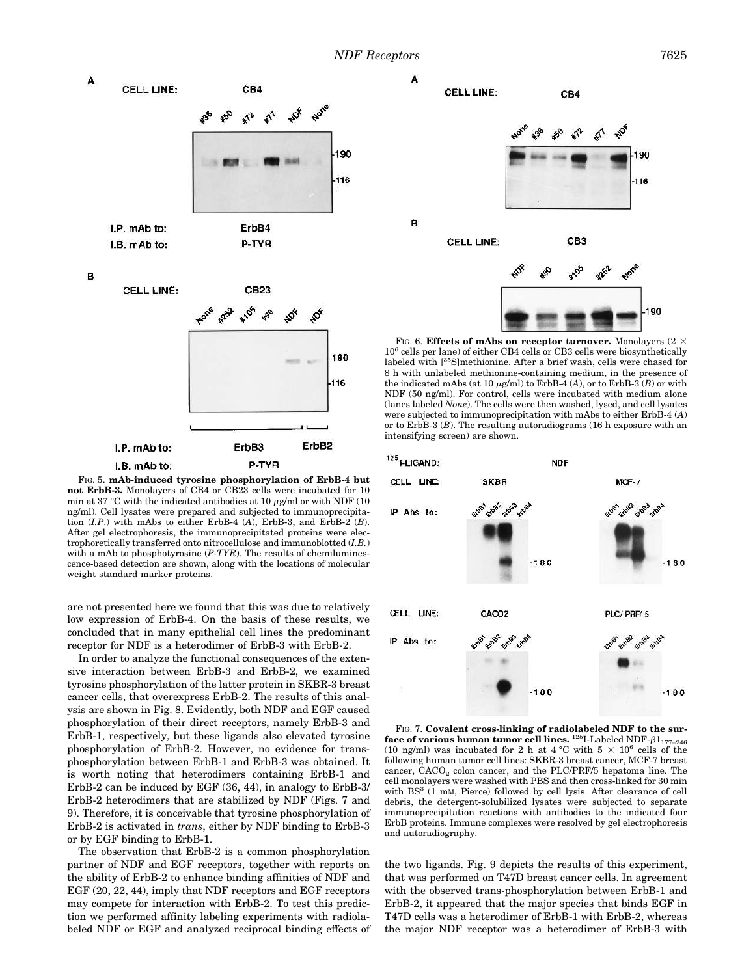

FIG. 5. **mAb-induced tyrosine phosphorylation of ErbB-4 but not ErbB-3.** Monolayers of CB4 or CB23 cells were incubated for 10 min at 37 °C with the indicated antibodies at 10  $\mu$ g/ml or with NDF (10 ng/ml). Cell lysates were prepared and subjected to immunoprecipitation (*I.P*.) with mAbs to either ErbB-4 (*A*), ErbB-3, and ErbB-2 (*B*). After gel electrophoresis, the immunoprecipitated proteins were electrophoretically transferred onto nitrocellulose and immunoblotted (*I.B.*) with a mAb to phosphotyrosine (*P-TYR*). The results of chemiluminescence-based detection are shown, along with the locations of molecular weight standard marker proteins.

are not presented here we found that this was due to relatively low expression of ErbB-4. On the basis of these results, we concluded that in many epithelial cell lines the predominant receptor for NDF is a heterodimer of ErbB-3 with ErbB-2.

In order to analyze the functional consequences of the extensive interaction between ErbB-3 and ErbB-2, we examined tyrosine phosphorylation of the latter protein in SKBR-3 breast cancer cells, that overexpress ErbB-2. The results of this analysis are shown in Fig. 8. Evidently, both NDF and EGF caused phosphorylation of their direct receptors, namely ErbB-3 and ErbB-1, respectively, but these ligands also elevated tyrosine phosphorylation of ErbB-2. However, no evidence for transphosphorylation between ErbB-1 and ErbB-3 was obtained. It is worth noting that heterodimers containing ErbB-1 and ErbB-2 can be induced by EGF (36, 44), in analogy to ErbB-3/ ErbB-2 heterodimers that are stabilized by NDF (Figs. 7 and 9). Therefore, it is conceivable that tyrosine phosphorylation of ErbB-2 is activated in *trans*, either by NDF binding to ErbB-3 or by EGF binding to ErbB-1.

The observation that ErbB-2 is a common phosphorylation partner of NDF and EGF receptors, together with reports on the ability of ErbB-2 to enhance binding affinities of NDF and EGF (20, 22, 44), imply that NDF receptors and EGF receptors may compete for interaction with ErbB-2. To test this prediction we performed affinity labeling experiments with radiolabeled NDF or EGF and analyzed reciprocal binding effects of



FIG. 6. **Effects of mAbs on receptor turnover.** Monolayers  $(2 \times$ 10<sup>6</sup> cells per lane) of either CB4 cells or CB3 cells were biosynthetically labeled with [35S]methionine. After a brief wash, cells were chased for 8 h with unlabeled methionine-containing medium, in the presence of the indicated mAbs (at  $10 \mu g/ml$ ) to ErbB-4 (A), or to ErbB-3 (B) or with NDF (50 ng/ml). For control, cells were incubated with medium alone (lanes labeled *None*). The cells were then washed, lysed, and cell lysates were subjected to immunoprecipitation with mAbs to either ErbB-4 (*A*) or to ErbB-3 (*B*). The resulting autoradiograms (16 h exposure with an intensifying screen) are shown.



FIG. 7. **Covalent cross-linking of radiolabeled NDF to the surface of various human tumor cell lines.**  $^{125}$ I-Labeled NDF- $\beta1_{177-246}$ (10 ng/ml) was incubated for 2 h at 4 °C with  $5 \times 10^6$  cells of the following human tumor cell lines: SKBR-3 breast cancer, MCF-7 breast cancer,  $\mathrm{CACO}_2$  colon cancer, and the PLC/PRF/5 hepatoma line. The cell monolayers were washed with PBS and then cross-linked for 30 min with BS<sup>3</sup> (1 mM, Pierce) followed by cell lysis. After clearance of cell debris, the detergent-solubilized lysates were subjected to separate immunoprecipitation reactions with antibodies to the indicated four ErbB proteins. Immune complexes were resolved by gel electrophoresis and autoradiography.

the two ligands. Fig. 9 depicts the results of this experiment, that was performed on T47D breast cancer cells. In agreement with the observed trans-phosphorylation between ErbB-1 and ErbB-2, it appeared that the major species that binds EGF in T47D cells was a heterodimer of ErbB-1 with ErbB-2, whereas the major NDF receptor was a heterodimer of ErbB-3 with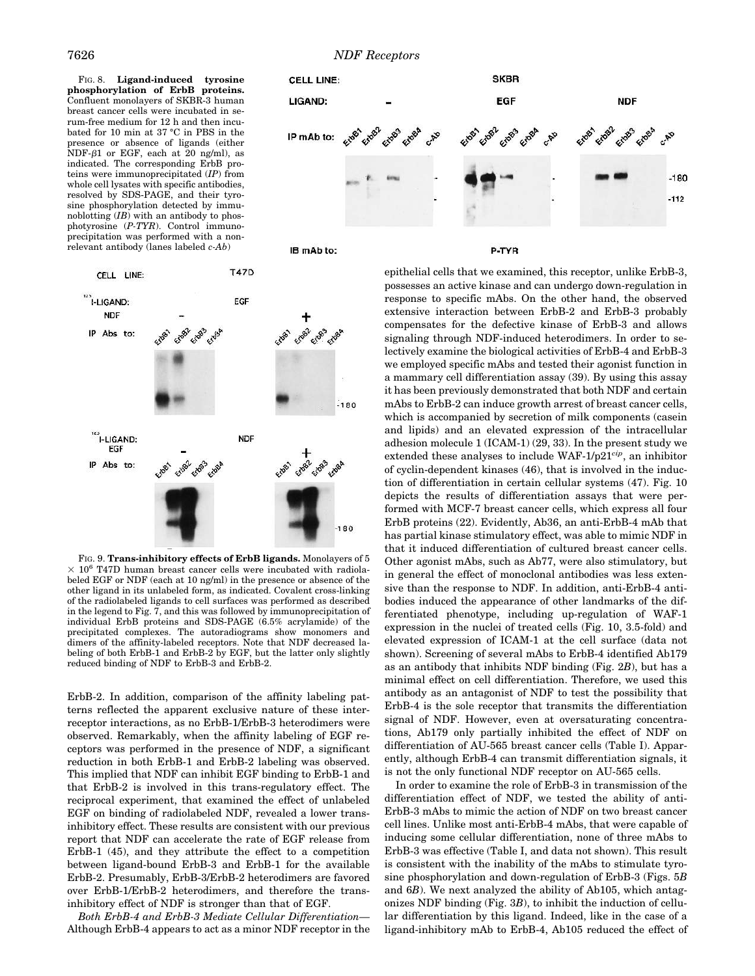FIG. 8. **Ligand-induced tyrosine phosphorylation of ErbB proteins.** Confluent monolayers of SKBR-3 human breast cancer cells were incubated in serum-free medium for 12 h and then incubated for 10 min at 37 °C in PBS in the presence or absence of ligands (either NDF- $\beta$ 1 or EGF, each at 20 ng/ml), as indicated. The corresponding ErbB proteins were immunoprecipitated (*IP*) from whole cell lysates with specific antibodies, resolved by SDS-PAGE, and their tyrosine phosphorylation detected by immunoblotting (*IB*) with an antibody to phosphotyrosine (*P-TYR*). Control immunoprecipitation was performed with a nonrelevant antibody (lanes labeled *c-Ab*)





CELL LINE:  $125$ <br> $l$ -LIGAND: EGE **NDF** Eidss IP Abs to: 205  $180$  $125$ <br> $-$ LIGAND: **NDF** EGF Erass IP Abs to: 180

**T47D** 

FIG. 9. **Trans-inhibitory effects of ErbB ligands.** Monolayers of 5  $\times$  10<sup>6</sup> T47D human breast cancer cells were incubated with radiolabeled EGF or NDF (each at 10 ng/ml) in the presence or absence of the other ligand in its unlabeled form, as indicated. Covalent cross-linking of the radiolabeled ligands to cell surfaces was performed as described in the legend to Fig. 7, and this was followed by immunoprecipitation of individual ErbB proteins and SDS-PAGE (6.5% acrylamide) of the precipitated complexes. The autoradiograms show monomers and dimers of the affinity-labeled receptors. Note that NDF decreased labeling of both ErbB-1 and ErbB-2 by EGF, but the latter only slightly reduced binding of NDF to ErbB-3 and ErbB-2.

ErbB-2. In addition, comparison of the affinity labeling patterns reflected the apparent exclusive nature of these interreceptor interactions, as no ErbB-1/ErbB-3 heterodimers were observed. Remarkably, when the affinity labeling of EGF receptors was performed in the presence of NDF, a significant reduction in both ErbB-1 and ErbB-2 labeling was observed. This implied that NDF can inhibit EGF binding to ErbB-1 and that ErbB-2 is involved in this trans-regulatory effect. The reciprocal experiment, that examined the effect of unlabeled EGF on binding of radiolabeled NDF, revealed a lower transinhibitory effect. These results are consistent with our previous report that NDF can accelerate the rate of EGF release from ErbB-1 (45), and they attribute the effect to a competition between ligand-bound ErbB-3 and ErbB-1 for the available ErbB-2. Presumably, ErbB-3/ErbB-2 heterodimers are favored over ErbB-1/ErbB-2 heterodimers, and therefore the transinhibitory effect of NDF is stronger than that of EGF.

*Both ErbB-4 and ErbB-3 Mediate Cellular Differentiation—* Although ErbB-4 appears to act as a minor NDF receptor in the

epithelial cells that we examined, this receptor, unlike ErbB-3, possesses an active kinase and can undergo down-regulation in response to specific mAbs. On the other hand, the observed extensive interaction between ErbB-2 and ErbB-3 probably compensates for the defective kinase of ErbB-3 and allows signaling through NDF-induced heterodimers. In order to selectively examine the biological activities of ErbB-4 and ErbB-3 we employed specific mAbs and tested their agonist function in a mammary cell differentiation assay (39). By using this assay it has been previously demonstrated that both NDF and certain mAbs to ErbB-2 can induce growth arrest of breast cancer cells, which is accompanied by secretion of milk components (casein and lipids) and an elevated expression of the intracellular adhesion molecule 1 (ICAM-1) (29, 33). In the present study we extended these analyses to include WAF-1/p21*cip*, an inhibitor of cyclin-dependent kinases (46), that is involved in the induction of differentiation in certain cellular systems (47). Fig. 10 depicts the results of differentiation assays that were performed with MCF-7 breast cancer cells, which express all four ErbB proteins (22). Evidently, Ab36, an anti-ErbB-4 mAb that has partial kinase stimulatory effect, was able to mimic NDF in that it induced differentiation of cultured breast cancer cells. Other agonist mAbs, such as Ab77, were also stimulatory, but in general the effect of monoclonal antibodies was less extensive than the response to NDF. In addition, anti-ErbB-4 antibodies induced the appearance of other landmarks of the differentiated phenotype, including up-regulation of WAF-1 expression in the nuclei of treated cells (Fig. 10, 3.5-fold) and elevated expression of ICAM-1 at the cell surface (data not shown). Screening of several mAbs to ErbB-4 identified Ab179 as an antibody that inhibits NDF binding (Fig. 2*B*), but has a minimal effect on cell differentiation. Therefore, we used this antibody as an antagonist of NDF to test the possibility that ErbB-4 is the sole receptor that transmits the differentiation signal of NDF. However, even at oversaturating concentrations, Ab179 only partially inhibited the effect of NDF on differentiation of AU-565 breast cancer cells (Table I). Apparently, although ErbB-4 can transmit differentiation signals, it is not the only functional NDF receptor on AU-565 cells.

In order to examine the role of ErbB-3 in transmission of the differentiation effect of NDF, we tested the ability of anti-ErbB-3 mAbs to mimic the action of NDF on two breast cancer cell lines. Unlike most anti-ErbB-4 mAbs, that were capable of inducing some cellular differentiation, none of three mAbs to ErbB-3 was effective (Table I, and data not shown). This result is consistent with the inability of the mAbs to stimulate tyrosine phosphorylation and down-regulation of ErbB-3 (Figs. 5*B* and 6*B*). We next analyzed the ability of Ab105, which antagonizes NDF binding (Fig. 3*B*), to inhibit the induction of cellular differentiation by this ligand. Indeed, like in the case of a ligand-inhibitory mAb to ErbB-4, Ab105 reduced the effect of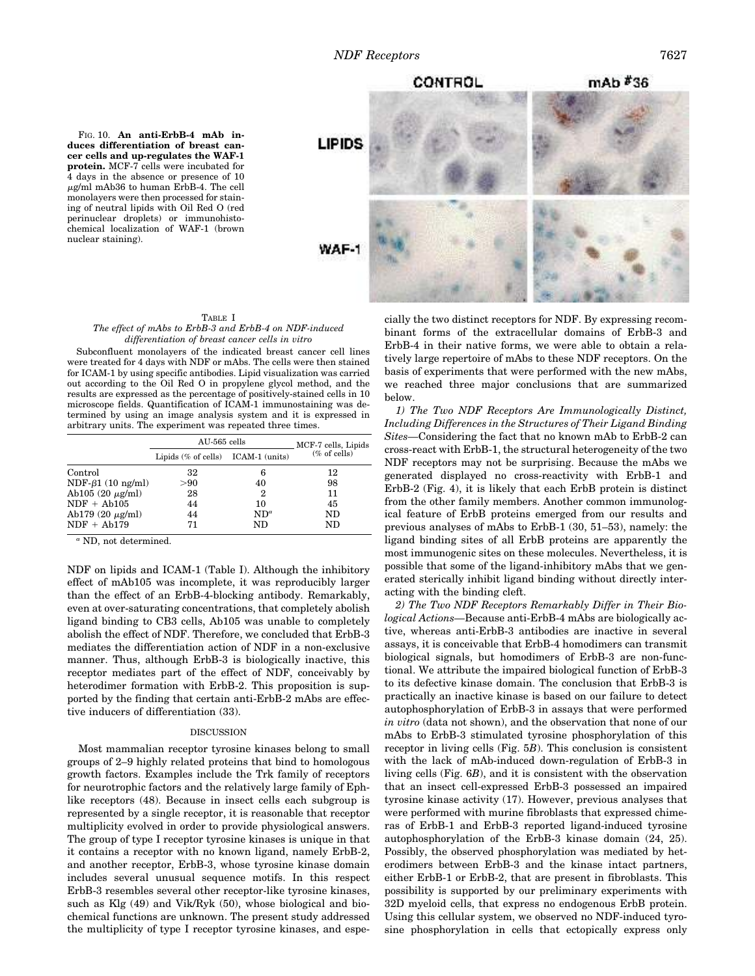FIG. 10. **An anti-ErbB-4 mAb induces differentiation of breast cancer cells and up-regulates the WAF-1 protein.** MCF-7 cells were incubated for 4 days in the absence or presence of 10  $\mu$ g/ml mAb36 to human ErbB-4. The cell monolayers were then processed for staining of neutral lipids with Oil Red O (red perinuclear droplets) or immunohistochemical localization of WAF-1 (brown nuclear staining).



### TABLE I *The effect of mAbs to ErbB-3 and ErbB-4 on NDF-induced differentiation of breast cancer cells in vitro*

Subconfluent monolayers of the indicated breast cancer cell lines were treated for 4 days with NDF or mAbs. The cells were then stained for ICAM-1 by using specific antibodies. Lipid visualization was carried out according to the Oil Red O in propylene glycol method, and the results are expressed as the percentage of positively-stained cells in 10 microscope fields. Quantification of ICAM-1 immunostaining was determined by using an image analysis system and it is expressed in arbitrary units. The experiment was repeated three times.

|                       | AU-565 cells                          |               | MCF-7 cells, Lipids |
|-----------------------|---------------------------------------|---------------|---------------------|
|                       | Lipids $(\%$ of cells) ICAM-1 (units) |               | $(\%$ of cells)     |
| Control               | 32                                    | 6             | 12                  |
| $NDF-61 (10 ng/ml)$   | > 90                                  | 40            | 98                  |
| Ab105 $(20 \mu g/ml)$ | 28                                    | 2             | 11                  |
| $NDF + Ab105$         | 44                                    | 10            | 45                  |
| Ab179 $(20 \mu g/ml)$ | 44                                    | $ND^{\alpha}$ | ND                  |
| $NDF + Ab179$         | 71                                    | ND            | ND                  |

*<sup>a</sup>* ND, not determined.

NDF on lipids and ICAM-1 (Table I). Although the inhibitory effect of mAb105 was incomplete, it was reproducibly larger than the effect of an ErbB-4-blocking antibody. Remarkably, even at over-saturating concentrations, that completely abolish ligand binding to CB3 cells, Ab105 was unable to completely abolish the effect of NDF. Therefore, we concluded that ErbB-3 mediates the differentiation action of NDF in a non-exclusive manner. Thus, although ErbB-3 is biologically inactive, this receptor mediates part of the effect of NDF, conceivably by heterodimer formation with ErbB-2. This proposition is supported by the finding that certain anti-ErbB-2 mAbs are effective inducers of differentiation (33).

### DISCUSSION

Most mammalian receptor tyrosine kinases belong to small groups of 2–9 highly related proteins that bind to homologous growth factors. Examples include the Trk family of receptors for neurotrophic factors and the relatively large family of Ephlike receptors (48). Because in insect cells each subgroup is represented by a single receptor, it is reasonable that receptor multiplicity evolved in order to provide physiological answers. The group of type I receptor tyrosine kinases is unique in that it contains a receptor with no known ligand, namely ErbB-2, and another receptor, ErbB-3, whose tyrosine kinase domain includes several unusual sequence motifs. In this respect ErbB-3 resembles several other receptor-like tyrosine kinases, such as Klg (49) and Vik/Ryk (50), whose biological and biochemical functions are unknown. The present study addressed the multiplicity of type I receptor tyrosine kinases, and espe-

cially the two distinct receptors for NDF. By expressing recombinant forms of the extracellular domains of ErbB-3 and ErbB-4 in their native forms, we were able to obtain a relatively large repertoire of mAbs to these NDF receptors. On the basis of experiments that were performed with the new mAbs, we reached three major conclusions that are summarized below.

*1) The Two NDF Receptors Are Immunologically Distinct, Including Differences in the Structures of Their Ligand Binding Sites—*Considering the fact that no known mAb to ErbB-2 can cross-react with ErbB-1, the structural heterogeneity of the two NDF receptors may not be surprising. Because the mAbs we generated displayed no cross-reactivity with ErbB-1 and ErbB-2 (Fig. 4), it is likely that each ErbB protein is distinct from the other family members. Another common immunological feature of ErbB proteins emerged from our results and previous analyses of mAbs to ErbB-1 (30, 51–53), namely: the ligand binding sites of all ErbB proteins are apparently the most immunogenic sites on these molecules. Nevertheless, it is possible that some of the ligand-inhibitory mAbs that we generated sterically inhibit ligand binding without directly interacting with the binding cleft.

*2) The Two NDF Receptors Remarkably Differ in Their Biological Actions—*Because anti-ErbB-4 mAbs are biologically active, whereas anti-ErbB-3 antibodies are inactive in several assays, it is conceivable that ErbB-4 homodimers can transmit biological signals, but homodimers of ErbB-3 are non-functional. We attribute the impaired biological function of ErbB-3 to its defective kinase domain. The conclusion that ErbB-3 is practically an inactive kinase is based on our failure to detect autophosphorylation of ErbB-3 in assays that were performed *in vitro* (data not shown), and the observation that none of our mAbs to ErbB-3 stimulated tyrosine phosphorylation of this receptor in living cells (Fig. 5*B*). This conclusion is consistent with the lack of mAb-induced down-regulation of ErbB-3 in living cells (Fig. 6*B*), and it is consistent with the observation that an insect cell-expressed ErbB-3 possessed an impaired tyrosine kinase activity (17). However, previous analyses that were performed with murine fibroblasts that expressed chimeras of ErbB-1 and ErbB-3 reported ligand-induced tyrosine autophosphorylation of the ErbB-3 kinase domain (24, 25). Possibly, the observed phosphorylation was mediated by heterodimers between ErbB-3 and the kinase intact partners, either ErbB-1 or ErbB-2, that are present in fibroblasts. This possibility is supported by our preliminary experiments with 32D myeloid cells, that express no endogenous ErbB protein. Using this cellular system, we observed no NDF-induced tyrosine phosphorylation in cells that ectopically express only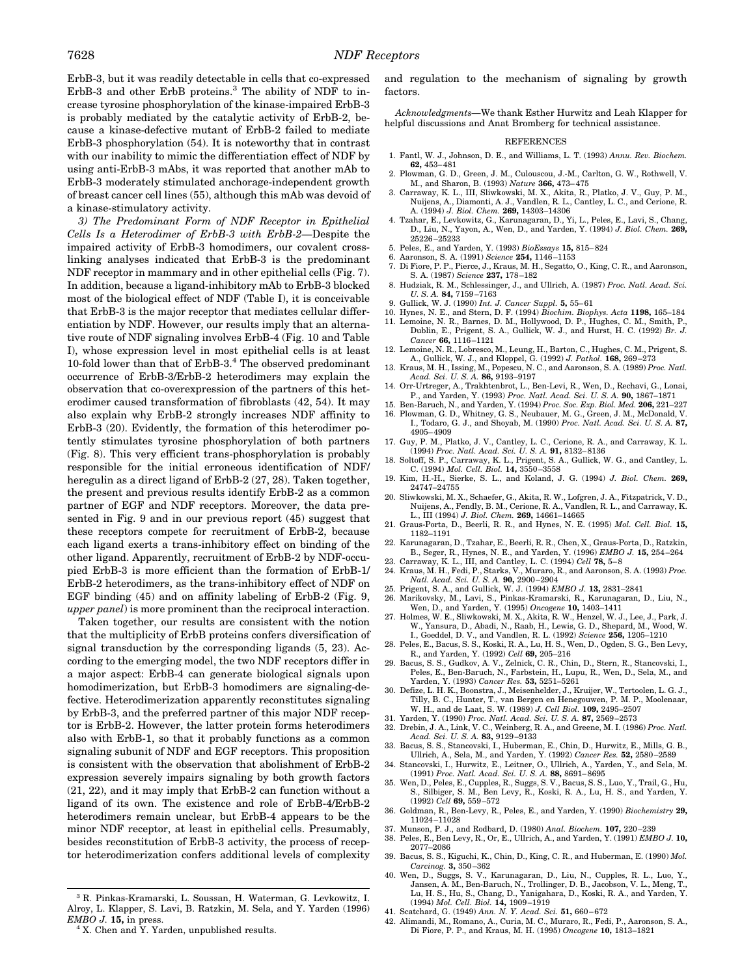ErbB-3, but it was readily detectable in cells that co-expressed ErbB-3 and other ErbB proteins.<sup>3</sup> The ability of NDF to increase tyrosine phosphorylation of the kinase-impaired ErbB-3 is probably mediated by the catalytic activity of ErbB-2, because a kinase-defective mutant of ErbB-2 failed to mediate ErbB-3 phosphorylation (54). It is noteworthy that in contrast with our inability to mimic the differentiation effect of NDF by using anti-ErbB-3 mAbs, it was reported that another mAb to ErbB-3 moderately stimulated anchorage-independent growth of breast cancer cell lines (55), although this mAb was devoid of a kinase-stimulatory activity.

*3) The Predominant Form of NDF Receptor in Epithelial Cells Is a Heterodimer of ErbB-3 with ErbB-2—*Despite the impaired activity of ErbB-3 homodimers, our covalent crosslinking analyses indicated that ErbB-3 is the predominant NDF receptor in mammary and in other epithelial cells (Fig. 7). In addition, because a ligand-inhibitory mAb to ErbB-3 blocked most of the biological effect of NDF (Table I), it is conceivable that ErbB-3 is the major receptor that mediates cellular differentiation by NDF. However, our results imply that an alternative route of NDF signaling involves ErbB-4 (Fig. 10 and Table I), whose expression level in most epithelial cells is at least 10-fold lower than that of ErbB-3.<sup>4</sup> The observed predominant occurrence of ErbB-3/ErbB-2 heterodimers may explain the observation that co-overexpression of the partners of this heterodimer caused transformation of fibroblasts (42, 54). It may also explain why ErbB-2 strongly increases NDF affinity to ErbB-3 (20). Evidently, the formation of this heterodimer potently stimulates tyrosine phosphorylation of both partners (Fig. 8). This very efficient trans-phosphorylation is probably responsible for the initial erroneous identification of NDF/ heregulin as a direct ligand of ErbB-2 (27, 28). Taken together, the present and previous results identify ErbB-2 as a common partner of EGF and NDF receptors. Moreover, the data presented in Fig. 9 and in our previous report (45) suggest that these receptors compete for recruitment of ErbB-2, because each ligand exerts a trans-inhibitory effect on binding of the other ligand. Apparently, recruitment of ErbB-2 by NDF-occupied ErbB-3 is more efficient than the formation of ErbB-1/ ErbB-2 heterodimers, as the trans-inhibitory effect of NDF on EGF binding (45) and on affinity labeling of ErbB-2 (Fig. 9, *upper panel*) is more prominent than the reciprocal interaction.

Taken together, our results are consistent with the notion that the multiplicity of ErbB proteins confers diversification of signal transduction by the corresponding ligands (5, 23). According to the emerging model, the two NDF receptors differ in a major aspect: ErbB-4 can generate biological signals upon homodimerization, but ErbB-3 homodimers are signaling-defective. Heterodimerization apparently reconstitutes signaling by ErbB-3, and the preferred partner of this major NDF receptor is ErbB-2. However, the latter protein forms heterodimers also with ErbB-1, so that it probably functions as a common signaling subunit of NDF and EGF receptors. This proposition is consistent with the observation that abolishment of ErbB-2 expression severely impairs signaling by both growth factors (21, 22), and it may imply that ErbB-2 can function without a ligand of its own. The existence and role of ErbB-4/ErbB-2 heterodimers remain unclear, but ErbB-4 appears to be the minor NDF receptor, at least in epithelial cells. Presumably, besides reconstitution of ErbB-3 activity, the process of receptor heterodimerization confers additional levels of complexity

<sup>4</sup> X. Chen and Y. Yarden, unpublished results.

and regulation to the mechanism of signaling by growth factors.

*Acknowledgments—*We thank Esther Hurwitz and Leah Klapper for helpful discussions and Anat Bromberg for technical assistance.

#### REFERENCES

- 1. Fantl, W. J., Johnson, D. E., and Williams, L. T. (1993) *Annu. Rev. Biochem.* **62,** 453–481
- 2. Plowman, G. D., Green, J. M., Culouscou, J.-M., Carlton, G. W., Rothwell, V. M., and Sharon, B. (1993) *Nature* **366,** 473–475
- 3. Carraway, K. L., III, Sliwkowski, M. X., Akita, R., Platko, J. V., Guy, P. M., Nuijens, A., Diamonti, A. J., Vandlen, R. L., Cantley, L. C., and Cerione, R. A. (1994) *J. Biol. Chem.* **269,** 14303–14306
- 4. Tzahar, E., Levkowitz, G., Karunagaran, D., Yi, L., Peles, E., Lavi, S., Chang, D., Liu, N., Yayon, A., Wen, D., and Yarden, Y. (1994) *J. Biol. Chem.* **269,** 25226–25233
- 5. Peles, E., and Yarden, Y. (1993) *BioEssays* **15,** 815–824
- 6. Aaronson, S. A. (1991) *Science* **254,** 1146–1153
- 7. Di Fiore, P. P., Pierce, J., Kraus, M. H., Segatto, O., King, C. R., and Aaronson, S. A. (1987) *Science* **237,** 178–182
- 8. Hudziak, R. M., Schlessinger, J., and Ullrich, A. (1987) *Proc. Natl. Acad. Sci. U. S. A.* **84,** 7159–7163
- 9. Gullick, W. J. (1990) *Int. J. Cancer Suppl.* **5,** 55–61
- 10. Hynes, N. E., and Stern, D. F. (1994) *Biochim. Biophys. Acta* **1198,** 165–184
- 11. Lemoine, N. R., Barnes, D. M., Hollywood, D. P., Hughes, C. M., Smith, P., Dublin, E., Prigent, S. A., Gullick, W. J., and Hurst, H. C. (1992) *Br. J. Cancer* **66,** 1116–1121
- 12. Lemoine, N. R., Lobresco, M., Leung, H., Barton, C., Hughes, C. M., Prigent, S. A., Gullick, W. J., and Kloppel, G. (1992) *J. Pathol.* **168,** 269–273
- 13. Kraus, M. H., Issing, M., Popescu, N. C., and Aaronson, S. A. (1989) *Proc. Natl. Acad. Sci. U. S. A.* **86,** 9193–9197
- 14. Orr-Urtreger, A., Trakhtenbrot, L., Ben-Levi, R., Wen, D., Rechavi, G., Lonai, P., and Yarden, Y. (1993) *Proc. Natl. Acad. Sci. U. S. A.* **90,** 1867–1871
- 15. Ben-Baruch, N., and Yarden, Y. (1994) *Proc. Soc. Exp. Biol. Med.* **206,** 221–227 16. Plowman, G. D., Whitney, G. S., Neubauer, M. G., Green, J. M., McDonald, V.
- I., Todaro, G. J., and Shoyab, M. (1990) *Proc. Natl. Acad. Sci. U. S. A.* **87,** 4905–4909
- 17. Guy, P. M., Platko, J. V., Cantley, L. C., Cerione, R. A., and Carraway, K. L. (1994) *Proc. Natl. Acad. Sci. U. S. A.* **91,** 8132–8136
- 18. Soltoff, S. P., Carraway, K. L., Prigent, S. A., Gullick, W. G., and Cantley, L. C. (1994) *Mol. Cell. Biol.* **14,** 3550–3558
- 19. Kim, H.-H., Sierke, S. L., and Koland, J. G. (1994) *J. Biol. Chem.* **269,** 24747–24755
- 20. Sliwkowski, M. X., Schaefer, G., Akita, R. W., Lofgren, J. A., Fitzpatrick, V. D., Nuijens, A., Fendly, B. M., Cerione, R. A., Vandlen, R. L., and Carraway, K. L., III (1994) *J. Biol. Chem.* **269,** 14661–14665
- 21. Graus-Porta, D., Beerli, R. R., and Hynes, N. E. (1995) *Mol. Cell. Biol.* **15,** 1182–1191
- 22. Karunagaran, D., Tzahar, E., Beerli, R. R., Chen, X., Graus-Porta, D., Ratzkin, B., Seger, R., Hynes, N. E., and Yarden, Y. (1996) *EMBO J.* **15,** 254–264
- 23. Carraway, K. L., III, and Cantley, L. C. (1994) *Cell* **78,** 5–8 24. Kraus, M. H., Fedi, P., Starks, V., Muraro, R., and Aaronson, S. A. (1993) *Proc.*
- *Natl. Acad. Sci. U. S. A.* **90,** 2900–2904 25. Prigent, S. A., and Gullick, W. J. (1994) *EMBO J.* **13,** 2831–2841
- 
- 26. Marikovsky, M., Lavi, S., Pinkas-Kramarski, R., Karunagaran, D., Liu, N., Wen, D., and Yarden, Y. (1995) *Oncogene* **10,** 1403–1411
- 27. Holmes, W. E., Sliwkowski, M. X., Akita, R. W., Henzel, W. J., Lee, J., Park, J. W., Yansura, D., Abadi, N., Raab, H., Lewis, G. D., Shepard, M., Wood, W. I., Goeddel, D. V., and Vandlen, R. L. (1992) *Science* **256,** 1205–1210
- 28. Peles, E., Bacus, S. S., Koski, R. A., Lu, H. S., Wen, D., Ogden, S. G., Ben Levy, R., and Yarden, Y. (1992) *Cell* **69,** 205–216
- 29. Bacus, S. S., Gudkov, A. V., Zelnick, C. R., Chin, D., Stern, R., Stancovski, I., Peles, E., Ben-Baruch, N., Farbstein, H., Lupu, R., Wen, D., Sela, M., and Yarden, Y. (1993) *Cancer Res.* **53,** 5251–5261
- 30. Defize, L. H. K., Boonstra, J., Meisenhelder, J., Kruijer, W., Tertoolen, L. G. J., Tilly, B. C., Hunter, T., van Bergen en Henegouwen, P. M. P., Moolenaar, W. H., and de Laat, S. W. (1989) *J. Cell Biol.* **109,** 2495–2507
- 31. Yarden, Y. (1990) *Proc. Natl. Acad. Sci. U. S. A.* **87,** 2569–2573
- 32. Drebin, J. A., Link, V. C., Weinberg, R. A., and Greene, M. I. (1986) *Proc. Natl. Acad. Sci. U. S. A.* **83,** 9129–9133
- 33. Bacus, S. S., Stancovski, I., Huberman, E., Chin, D., Hurwitz, E., Mills, G. B., Ullrich, A., Sela, M., and Yarden, Y. (1992) *Cancer Res.* **52,** 2580–2589
- 34. Stancovski, I., Hurwitz, E., Leitner, O., Ullrich, A., Yarden, Y., and Sela, M. (1991) *Proc. Natl. Acad. Sci. U. S. A.* **88,** 8691–8695
- 35. Wen, D., Peles, E., Cupples, R., Suggs, S. V., Bacus, S. S., Luo, Y., Trail, G., Hu, S., Silbiger, S. M., Ben Levy, R., Koski, R. A., Lu, H. S., and Yarden, Y. (1992) *Cell* **69,** 559–572
- 36. Goldman, R., Ben-Levy, R., Peles, E., and Yarden, Y. (1990) *Biochemistry* **29,** 11024–11028
- 37. Munson, P. J., and Rodbard, D. (1980) *Anal. Biochem.* **107,** 220–239
- 38. Peles, E., Ben Levy, R., Or, E., Ullrich, A., and Yarden, Y. (1991) *EMBO J.* **10,** 2077–2086
- 39. Bacus, S. S., Kiguchi, K., Chin, D., King, C. R., and Huberman, E. (1990) *Mol. Carcinog.* **3,** 350–362
- 40. Wen, D., Suggs, S. V., Karunagaran, D., Liu, N., Cupples, R. L., Luo, Y., Jansen, A. M., Ben-Baruch, N., Trollinger, D. B., Jacobson, V. L., Meng, T., Lu, H. S., Hu, S., Chang, D., Yanigahara, D., Koski, R. A., and Yarden, Y. (1994) *Mol. Cell. Biol.* **14,** 1909–1919
- 41. Scatchard, G. (1949) *Ann. N. Y. Acad. Sci.* **51,** 660–672
- 42. Alimandi, M., Romano, A., Curia, M. C., Muraro, R., Fedi, P., Aaronson, S. A., Di Fiore, P. P., and Kraus, M. H. (1995) *Oncogene* **10,** 1813–1821

<sup>3</sup> R. Pinkas-Kramarski, L. Soussan, H. Waterman, G. Levkowitz, I. Alroy, L. Klapper, S. Lavi, B. Ratzkin, M. Sela, and Y. Yarden (1996) *EMBO J.* **15,** in press.